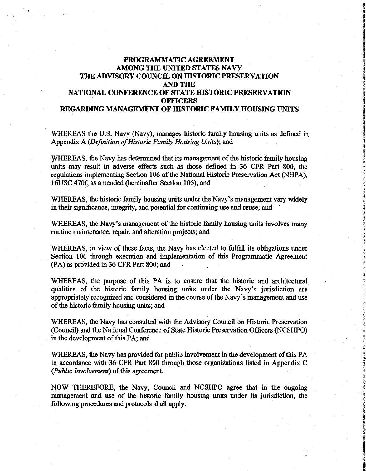# **PROGRAMMATIC AGREEMENT AMONG THE UNITED STATES NAVY THE ADVISORY COUNCIL ON HISTORIC PRESERVATION AND THE NATIONAL CONFERENCE OF STATE HISTORIC PRESERVATION OFFICERS REGARDING MANAGEMENT OF IDSTORIC FAMILY HOUSING UNITS**

WHEREAS the U.S. Navy (Navy), manages historic family housing units as defined in Appendix A *(Definition of Historic Family Housing Units);* and

WHEREAS, the Navy has determined that its management of the historic family housing units may result in adverse effects such as those defined in 36 CFR Part 800, the regulations implementing Section 106 of the National Historic Preservation Act (NHPA), 16USC 470f, as amended (hereinafter Section 106); and

WHEREAS, the historic family housing units under the Navy's management vary widely in their significance, integrity, and potential for continuing use and reuse; and

WHEREAS, the Navy's management of the historic family housing units involves many routine maintenance, repair, and alteration projects; and

WHEREAS, in view of these facts, the Navy has elected to fulfill its obligations under Section 106 through execution and implementation of this Programmatic Agreement (PA) as provided in 36 CFR Part 800; and

WHEREAS, the purpose of this PA is to ensure that the historic and architectural qualities of the historic family housing units under the Navy's jurisdiction· are appropriately recognized and considered in the course of the Navy's management and use of the historic family housing units; and

WHEREAS, the Navy has consulted with the Advisory Council on Historic Preservation (Council) and the National Conference of State Historic Preservation Officers (NCSHPO) in the development of this PA; and

WHEREAS, the Navy has provided for public involvement in the development of this PA in accordance with 36 CFR Part 800 through those organizations listed in Appendix C *(Public Involvement)* of this agreement.

NOW THEREFORE, the Navy, Council and NCSHPO agree that in the ongoing management and use of the historic family housing units under its jurisdiction, the following procedures and protocols shall apply.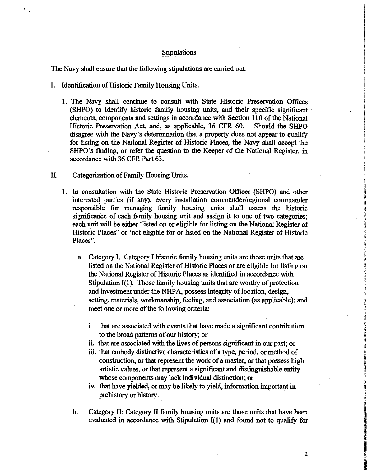## Stipulations

The Navy shall ensure that the following stipulations are carried out:

- I. Identification of Historic Family Housing Units.
	- 1. The Navy shall continue to consult with State Historic Preservation Offices (SHPO) to identify historic family housing units, and their specific significant elements, components and settings in accordance with Section 110 of the National Historic Preservation Act, and, as applicable, 36 CFR 60. Should the SHPO disagree with the Navy's determination that a property does not appear to qualify for listing on the National Register of Historic Places, the Navy shall accept the SHPO's finding, or refer the question to the Keeper of the National Register, in accordance with 36 CFR Part 63.
- II. Categorization of Family Housing Units.
	- 1. In consultation with the State Historic Preservation Officer (SHPO) and other interested parties (if any), every installation commander/regional commander responsible for managing family housing units shall assess the historic significance of each family housing unit and assign it to one of two categories; each unit will be either 'listed on or eligible for listing on the National Register of Historic Places" or 'not eligible for or listed on the National Register of Historic Places".
		- a. Category I. Category I historic family housing units are those units that are listed on the National Register of Historic Places or are eligible for listing on the National Register of Historic Places as identified in accordance with Stipulation  $I(1)$ . Those family housing units that are worthy of protection and investment under the NHPA, possess integrity of location, design, setting, materials, workmanship, feeling, and association (as applicable); and meet one or more of the following criteria:
			- **1.** that are associated with events that have made a significant contribution to the broad patterns of our history; or
			- ii. that are associated with the lives of persons significant in our past; or
			- iii. that embody distinctive characteristics of a type, period, or method of construction, or that represent the work of a master, or that possess high artistic values, or that represent a significant and distinguishable en\_tity whose components may lack individual distinction; or
			- iv. that have yielded, or may be likely to yield, information important in prehistory or history.
		- b. Category II: Category II family housing units are those units that have been evaluated in accordance with Stipulation 1(1) and found not to qualify for

 $\overline{\phantom{a}}$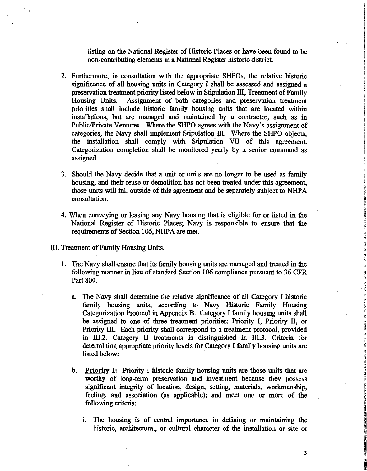listing on the National Register of Historic Places or have been found to be non-contributing elements in a National Register historic district.

- 2. Furthermore, in consultation with the appropriate SHPOs, the relative historic significance of all housing units in Category I shall be assessed and assigned a preservation treatment priority listed below in Stipulation III, Treatment of Family Housing Units. Assignment of both categories and preservation treatment Assignment of both categories and preservation treatment priorities shall include historic family housing units that are located within installations, but are managed and· maintained by a contractor, such as in Public/Private Ventures. Where the SHPO agrees with the Navy's assignment of categories, the Navy shall implement Stipulation III. Where the SHPO objects, the installation shall comply with Stipulation VII of this agreement. Categorization completion shall be monitored yearly by a senior command as assigned.
- 3. Should the Navy decide that a unit or units are no longer to be used as family housing, and their reuse or demolition has not been treated under this agreement, those units will fall outside of this agreement and be separately subject to NHP A consultation.
- 4. When conveying or leasing any Navy housing that is eligible for or listed in the National Register of Historic Places; Navy is responsible to ensure that the requirements of Section 106, NHPA are met.

III. Treatment of Family Housing Units.

- 1. The Navy shall ensure that its family housing units are managed and treated in the following manner in lieu of standard Section 106 compliance pursuant to 36 CFR Part 800.
	- a. The Navy shall determine the relative significance of all Category I historic family housing units, according to Navy Historic Family Housing Categorization Protocol in Appendix B. Category I family housing units shall be assigned to one of three treatment priorities: Priority I, Priority II, or Priority Ill. Each priority shall correspond to a treatment protocol, provided in 111.2. Category II treatments is distinguished in 111.3. Criteria for determining appropriate priority levels for Category I family housing units are listed below:
	- **b. Priority** I: Priority I historic family housing units are those units that are worthy of long-term preservation and investment because they possess significant integrity of location, design, setting, materials, workmanship, feeling, and association (as applicable); and meet one or more of the following criteria:
		- 1. The housing is of central importance in defining or maintaining the historic, architectural, or cultural character of the installation or site or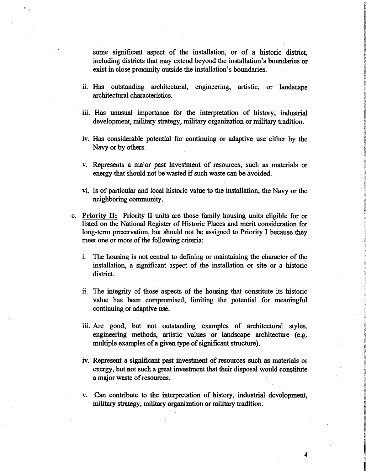some. significant aspect of the installation, or of a historic district, including districts that may extend beyond the installation's boundaries or exist in close proximity outside the installation's boundaries.

- i. Has outstanding architectural, engineering, artistic, or landscape architectural characteristics.
- iii. Has unusual importance for the interpretation of history, industrial development, military strategy, military organization or military tradition.
- iv. Has considerable potential for continuing or adaptive use either by the Navy or by others.
- v. Represents a major past investment of resources, such as materials or energy that should not be wasted if such waste can be avoided.
- vi. Is of particular and local historic value to the installation, the Navy or the neighboring community.
- c. **Priority** II: Priority II units are those family housing units eligible for or listed on the National Register of Historic Places and merit consideration for long-term preservation, but should not be assigned to Priority I because they meet one or more of the following criteria:
	- i. The housing is not central to defining or maintaining the character of the installation, a significant aspect of the installation or site or a historic district.
	- ii. The integrity of those aspects of the housing that constitute its historic value has been compromised, limiting the potential for meaningful continuing or adaptive use.
	- iii. Are good, but not outstanding examples of architectural styles, engineering methods, artistic values or landscape architecture (e.g. multiple examples of a given type of significant structure).
	- iv. Represent a significant past investment of resources such as materials or energy, but not such a great investment that their disposal would constitute a major waste of resources.
	- v. Can contribute to the interpretation of history, industrial development, military strategy, military organization or military tradition.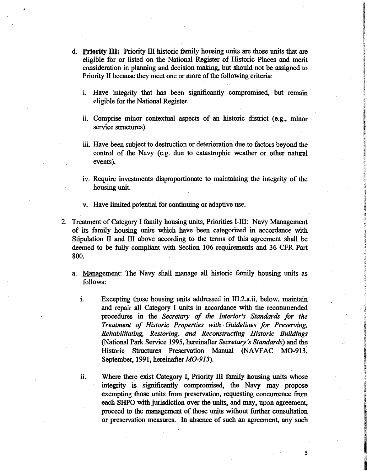- d. **Priority** III: Priority III historic family housing units are those units that are eligible for or listed on the National Register of Historic Places and merit consideration in planning and decision making, but should not be assigned to Priority II because they meet one or more of the following criteria:
	- i. Have integrity that has been significantly compromised, but remain eligible for the National Register.
	- ii. Comprise minor contextual aspects of an historic district (e.g., minor service structures).
	- iii. Have been subject to destruction or deterioration due to factors beyond the control of the Navy (e.g. due to catastrophic weather or other natural events).
	- iv. Require investments disproportionate to maintaining the integrity of the housing unit.
	- v. Have limited potential for continuing or adaptive use.
- 2. Treatment of Category I family housing units, Priorities 1-111: Navy Management of its family housing units which have been categorized in accordance with Stipulation II and III above according to the terms of this agreement shall be deemed to be fully compliant with Section 106 requirements and 36 CFR Part 800.
	- a. Management: The Navy shall manage all historic family housing units as follows:
		- 1. Excepting those housing units addressed in 111.2.a.ii, below, maintain and repair all Category I units in accordance with the recommended procedures in the *Secretary of the Interior's Standards for the Treatment of Historic Properties with Guidelines for Preserving, Rehabilitating, Restoring, and Reconstructing Historic Buildings*  (National Park Service 1995, hereinafter *Secretary's Standards)* and the Historic Structures Preservation Manual (NAVFAC MO-913, September, 1991, hereinafter M0-913).
		- 11. Where there exist Category I, Priority III family housing units whose integrity is significantly compromised, the Navy may propose exempting those units from preservation, requesting concurrence from each SHPO with jurisdiction over the units, and may, upon agreement, proceed to the management of those units without further consultation or preservation measures. In absence of such an agreement, any such

..

*5* 

**BIRTHDAY STATES AND ANNOUNCE** 

**In the American State**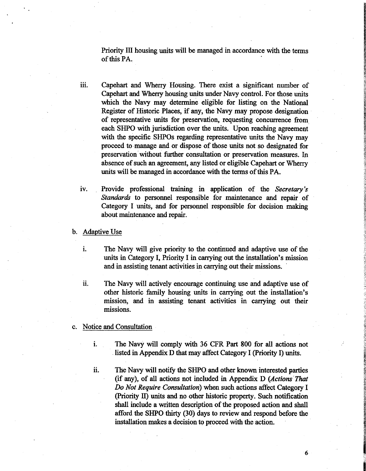Priority III housing units will be managed in accordance with the terms of this PA.

- iii. Capehart and Wherry Housing. There exist a significant number of Capehart and Wherry housing units under Navy control. For those units which the Navy may determine eligible for listing on the National Register of Historic Places, if any, the Navy may propose designation of representative units for preservation, requesting concurrence from each SHPO with jurisdiction over the units. Upon reaching agreement with the specific SHPOs regarding representative units the Navy may proceed to manage and or dispose of those units not so designated for preservation without further consultation or preservation measures. In absence of such an agreement, any listed or eligible Capehart or Wherry units will be managed in accordance with the terms of this **PA.**
- IV. Provide professional training in application of the *Secretary's Standards* to personnel responsible for maintenance and repair of Category I units, and for personnel responsible for decision making about maintenance and repair.
- b. Adaptive Use
	- i. The Navy will give priority to the continued and adaptive use of the units in Category I, Priority I in carrying out the installation's mission and in assisting tenant activities in carrying out their missions.
	- ii. The Navy will actively encourage continuing use and adaptive use of other historic family housing units in carrying out the installation's mission, and in assisting tenant activities in carrying out their missions.
- c. Notice and Consultation
	- i. The Navy will comply with 36 CFR Part 800 for all actions not listed in Appendix D that may affect Category I (Priority I) units.
	- ii. The Navy will notify the SHPO and other known interested parties (if any), of all actions not included in Appendix D *(Actions That Do Not Require Consultation)* when such actions affect Category I (Priority II) units and no other historic property. Such notification shall include a written description of the proposed action and shall afford the SHPO thirty (30) days to review and respond before the installation makes a decision to proceed with the action.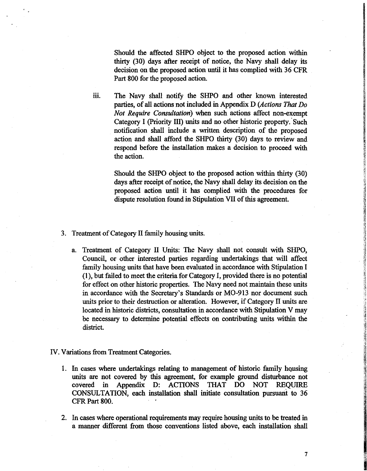Should the affected SHPO object to the proposed action within thirty (30) days after receipt of notice, the Navy shall delay its decision on the proposed action until it has complied with 36 CFR Part 800 for the proposed action.

iii. The Navy shall notify the SHPO and other known interested parties, of all actions not included in Appendix D *(Actions That Do Not Require Consultation)* when such actions affect non-exempt Category I (Priority III) units and no other historic property. Such notification shall include a written description of the proposed action and shall afford the SHPO thirty (30) days to review and respond before the installation makes a decision to proceed with the action.

> Should the SHPO object to the proposed action within thirty (30) days after receipt of notice, the Navy shall delay its decision on the proposed action until it has complied with the procedures for dispute resolution found in Stipulation VII of this agreement.

- 3. Treatment of Category II family housing units.
	- a. Treatment of Category II Units: The Navy shall not consult with SHPO, Council, or other interested parties regarding undertakings that will affect family housing units that have been evaluated in accordance with Stipulation I (1 ), but failed to meet the criteria for Category I, provided there is no potential for effect on other historic properties. The Navy need not maintain these units in accordance with the Secretary's Standards or M0-913 nor document such units prior to their destruction or alteration. However, if Category II units are located in historic districts, consultation in accordance with Stipulation V may be necessary to determine potential effects on contributing units within the district.
- IV. Variations from Treatment Categories.
	- 1. In cases where undertakings relating to management of historic family housing units are not covered by this agreement, for example ground disturbance not covered in Appendix D: ACTIONS THAT DO NOT REQUIRE CONSULTATION, each installation shall initiate consultation pursuant to 36 CFR Part 800.
	- 2. In cases where operational requirements may require housing units to be treated in a manner different from those conventions listed above, each installation shall

 $\overline{\phantom{a}}$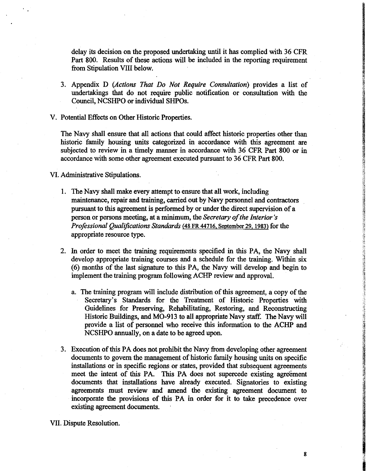delay its decision on the proposed undertaking until it has complied with 36 CFR Part 800. Results of these actions will be included in the reporting requirement from Stipulation VIII below.

- 3. Appendix D *(Actions That Do Not Require Consultation)* provides a list of undertakings that do not require public notification or consultation with the Council, NCSHPO or individual SHPOs.
- V. Potential Effects on Other Historic Properties.

The Navy shall ensure that all actions that could affect historic properties other than historic family housing units categorized in accordance with this agreement are subjected to review in a timely manner in accordance with 36 CFR Part 800 or in accordance with some other agreement executed pursuant to 36 CFR Part 800.

VI. Administrative Stipulations.

- 1. The Navy shall make every attempt to ensure that all work, including maintenance, repair and training, carried out by Navy personnel and contractors pursuant to this agreement is performed by or under the direct supervision of a person or persons meeting, at a minimum, the *Secretary of the Interior's Professional Qualifications Standards* (48 FR 44716. September 29, 1983) for the appropriate resource type.
- 2. In order to meet the training requirements specified in this PA, the Navy shall develop appropriate training courses and a schedule for the training. Within six (6) months of the last signature to this PA, the Navy will develop and begin to implement the training program following ACHP review and approval.
	- a. The training program will include distribution of this agreement, a copy of the Secretary's Standards for the Treatment of Historic Properties with Guidelines for Preserving, Rehabilitating, Restoring, and Reconstructing Historic Buildings, and MO-913 to all appropriate Navy staff. The Navy will provide a list of personnel who receive this information to the ACHP and NCSHPO annually, on a date to be agreed upon.
- 3. Execution of this PA does not prohibit the Navy from developing other agreement documents to govern the management of historic family housing units on specific installations or in specific regions or states, provided that subsequent agreements meet the intent of this PA. This PA does not supercede existing agreement documents that installations have already executed. Signatories to existing agreements must review and amend the existing agreement document to incorporate the provisions of this PA in order for it to take precedence over existing agreement documents.

VII. Dispute Resolution.

<del>の</del><br>- デジタン<br>- Contractor Security<br>- Contractor Security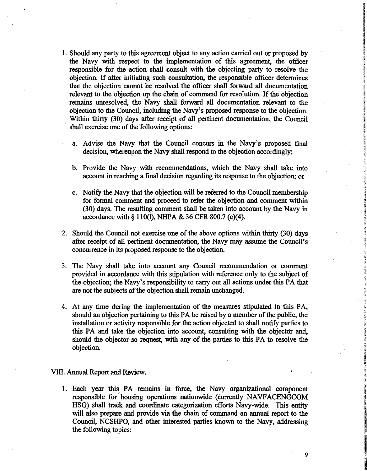- 1. Should any party to this agreement object to any action carried out or proposed by the Navy with respect to the implementation of this agreement, the officer responsible for the action shall consult with the objecting party to resolve the objection. If after initiating such consultation, the responsible officer determines that the objection cannot be resolved the officer shall forward all documentation relevant to the objection up the chain of command for resolution. If the objection remains unresolved, the Navy shall forward all documentation relevant to the objection to the Council, including the Navy's proposed response to the objection. Within thirty (30) days after receipt of all pertinent documentation, the Council shall exercise one of the following options:
	- a. Advise the Navy that the Council concurs in the Navy's proposed final decision, whereupon the Navy shall respond to the objection accordingly;
	- b. Provide the Navy with recommendations, which the Navy shall take into account in reaching a final decision regarding its response to the objection; or
	- c. Notify the Navy that the objection will be referred to the Council membership for formal comment and proceed to refer the objection and comment within (30) days. The resulting comment shall be taken into account by the Navy in accordance with§ 110(1), NHPA & 36 CFR 800.7 (c)(4).
- 2. Should the Council not exercise one of the above options within thirty (30) days after receipt of all pertinent documentation, the Navy may assume the Council's concurrence in its proposed response to the objection.
- 3. The Navy shall take into account any Council recommendation or comment provided in accordance with this stipulation with reference only to the subject of the objection; the Navy's responsibility to carry out all actions under this PA that are not the subjects of the objection shall remain unchanged.
- 4. At any time during the implementation of the measures stipulated in this PA, should an objection pertaining to this PA be raised by a member of the public, the installation or activity responsible for the action objected to shall notify parties to this PA and take the objection into account, consulting with the objector and, should the objector so request, with any of the parties to this PA to resolve the objection.

VIII. Annual Report and Review.

1. Each year this PA remains in force, the Navy organizational component responsible for housing operations nationwide (currently NAVFACENGCOM HSG) shall track and coordinate categorization efforts Navy-wide. This entity will also prepare and provide via the chain of command an annual report to the Council, NCSHPO, and other interested parties known to the Navy, addressing the following topics: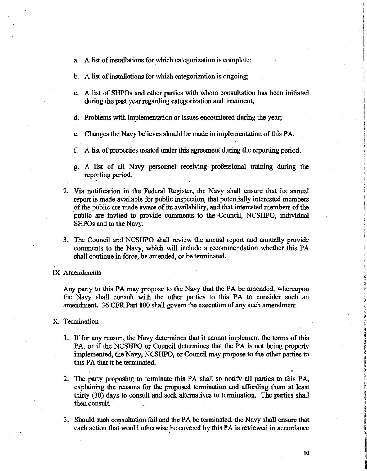- a. A list of installations for which categorization is complete;
- b. A list of installations for which categorization is ongoing;
- c. A list of SHPOs and other parties with whom consultation has been initiated during the past year regarding categorization and treatment;
- d. Problems with implementation or issues encountered during the year;
- e. Changes the Navy believes should be made in implementation of this PA.
- f. A list of properties treated under this agreement during the reporting period.
- g. A list of all Navy personnel receiving professional training during the reporting period.
- 2. Via notification in the Federal Register, the Navy shall ensure that its annual report is made available for public inspection, that potentially interested members of the public are made aware of its availability, and that interested members of the public are invited to provide comments to the Council, NCSHPO, individual SHPOs and to the Navy.
- 3. The Council and NCSHPO shall review the annual report and annually provide comments to the Navy, which will include a recommendation whether this PA shall continue in force, be amended, or be terminated.

#### IX. Amendments

Any party to this PA may propose to the Navy that the PA be amended, whereupon the Navy shall consult with the other parties to this PA to consider such an amendment. 36 CFR Part 800 shall govern the execution of any such amendment.

## X. Termination

- 1. If for any reason, the Navy determines that it cannot implement the terms of this PA, or if the NCSHPO or Council determines that the PA is not being properly implemented, the Navy, NCSHPO, or Council may propose to the other parties to this PA that it be terminated.
- 2. The party proposing to terminate this PA shall so notify all parties to this PA, explaining the reasons for the proposed termination and affording them at least thirty (30) days to consult and seek alternatives to termination. The parties shall then consult.
- 3. Should such consultation fail and the PA be terminated, the Navy shall ensure that each action that would otherwise be covered by this PA is reviewed in accordance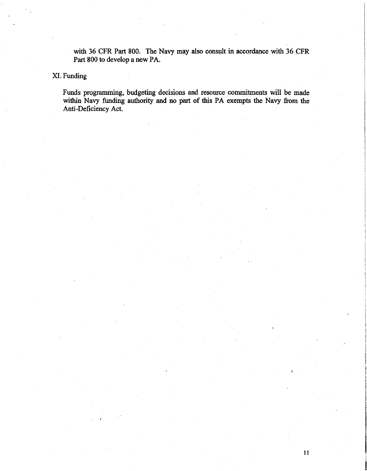with 36 CFR Part 800. The Navy may also consult in accordance with 36 CFR Part 800 to develop a new PA.

# XI.Funding

Funds programming, budgeting decisions and resource commitments will be made within Navy funding authority and no part of this PA exempts the Navy from the Anti-Deficiency Act.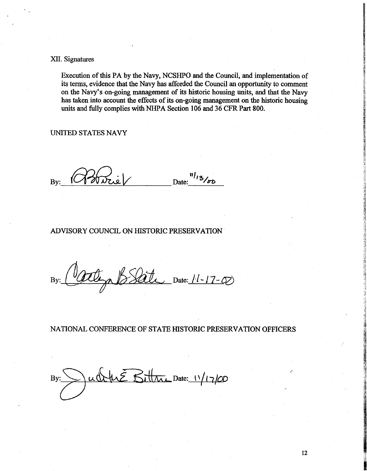XII. Signatures

Execution of this PA by the Navy, NCSHPO and the Council, and implementation of its terms, evidence that the Navy has afforded the Council an opportunity to comment on the Navy's on-going management of its historic housing units, and that the Navy has taken into account the effects of its on-going management on the historic housing units and fully complies with NHPA Section 106 and 36 CFR Part 800.

UNITED STATES NAVY

By: (Harrie) Date: <sup>"13</sup>/00

# ADVISORY COUNCIL ON HISTORIC PRESERVATION

By: <u>(Otterpho BSate, Date: 11-17-0</u>)

NATIONAL CONFERENCE OF STATE HISTORIC PRESERVATION OFFICERS

 $Bit$  Date:  $11/17/00$ uÒ By:

**Bank**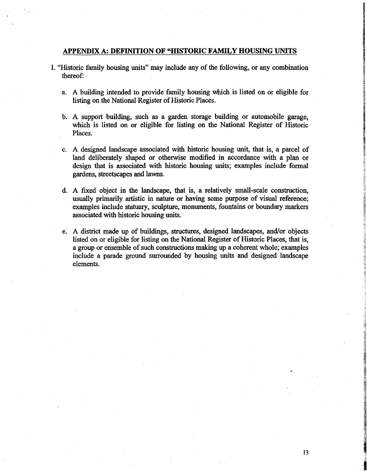# **APPENDIX A: DEFINITION OF "HISTORIC FAMILY HOUSING UNITS**

- I. "Historic family housing units" may include any of the following, or any combination thereof:
	- a. A building intended to provide family housing which is listed on or eligible for listing on the National Register of Historic Places.
	- b. A support building, such as a garden storage building or automobile garage, which is listed on or eligible for listing on the National Register of Historic Places.
	- c. A designed landscape associated with historic housing unit, that is, a parcel of land deliberately shaped or otherwise modified in accordance with a plan or design that is associated with historic housing units; examples include formal gardens, streetscapes and lawns.
	- d. A fixed object in the landscape, that is, a relatively small-scale construction, usually primarily artistic in nature or having some purpose of visual reference; examples include statuary, sculpture, monuments, fountains or boundary markers associated with historic housing units.
	- e. A district made up of buildings, structures, designed landscapes, and/or objects listed on or eligible for listing on the National Register of Historic Places, that is, a group or ensemble of such constructions making up a coherent whole; examples include a parade ground surrounded by housing units and designed landscape elements.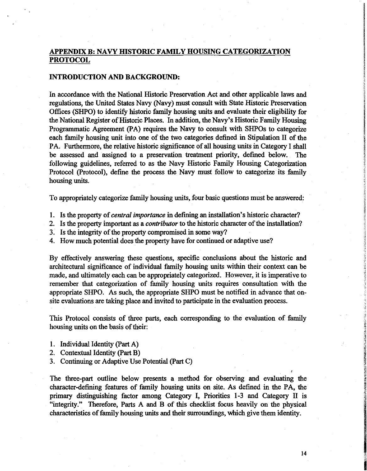# **APPENDIX B: NA VY HISTORIC FAMILY HOUSING CATEGORIZATION PROTOCOL**

# **INTRODUCTION AND BACKGROUND:**

In accordance with the National Historic Preservation Act and other applicable laws and regulations, the United States Navy (Navy) must consult with State Historic Preservation Offices (SHPO) to identify historic family housing units and evaluate their eligibility for the National Register of Historic Places. In addition, the Navy's Historic Family Housing Programmatic Agreement (PA) requires the Navy to consult with SHPOs to categorize each family housing unit into one of the two categories defined in Stipulation II of the PA. Furthermore, the relative historic significance of all housing units in Category I shall be assessed and assigned to a preservation treatment priority, defined below. The following guidelines, referred to as the Navy Historic Family Housing Categorization Protocol (Protocol), define the process the Navy must follow to categorize its family housing units.

To appropriately categorize family housing units, four basic questions must be answered:

- 1. Is the property of *central importance* in defining an installation's historic character?
- 2. Is the property important as a *contributor* to the historic character of the installation?
- 3. Is the integrity of the property compromised in some way?
- 4. How much potential does the property have for continued or adaptive use?

By effectively answering these questions, specific conclusions about the historic and architectural significance of individual family housing units within their context can be made, and ultimately each can be appropriately categorized. However, it is imperative to remember that categorization of family housing units requires consultation with the appropriate SHPO. As such, the appropriate SHPO must be notified in advance that onsite evaluations are taking place and invited to participate in the evaluation process.

This Protocol consists of three parts, each corresponding to the evaluation of family housing units on the basis of their:

- 1. Individual Identity (Part A)
- 2. Contextual Identity (Part B)
- 3. Continuing or Adaptive Use Potential (Part C)

The three-part outline below presents a method for observing and evaluating the character-defining features of family housing units on site. As defined in the PA, the primary distinguishing factor among Category I, Priorities 1-3 and Category II is "integrity." Therefore, Parts A and B of this checklist focus heavily on the physical characteristics of family housing units and their surroundings, which give them identity.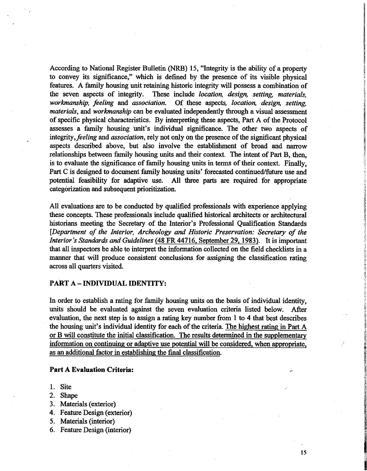According to National Register Bulletin (NRB) 15, "Integrity is the ability of a property to convey its significance," which is defined by the presence of its visible physical features. A family housing unit retaining historic integrity will possess a combination of the seven aspects of integrity. These include *location, design, setting, materials, workmanship, feeling* and *association.* Of these aspects, *location, design, setting, materials,* and *workmanship* can be evaluated independently through a visual assessment of specific physical characteristics. By interpreting these aspects, Part A of the Protocol assesses a family housing unit's individual significance. The other two aspects of *integrity,feeling* and *association,* rely not only on the presence of the significant physical aspects described above, but also involve the establishment of broad and narrow relationships between family housing units and their context. The intent of Part B, then, is to evaluate the significance of family housing units in terms of their context. Finally, Part C is designed to document family housing units' forecasted continued/future use and potential feasibility for adaptive use. All three parts are required for appropriate categorization and subsequent prioritization.

All evaluations are to be conducted by qualified professionals with experience applying these concepts. These professionals include qualified historical architects or architectural historians meeting the Secretary of the Interior's Professional Qualification Standards *[Department of the Interior, Archeology and Historic Preservation: Secretary of the Interior's Standards and Guidelines* (48 FR 44716, September 29, 1983). It is important that all inspectors be able to interpret the information collected on the field checklists in a manner that will produce consistent conclusions for assigning the classification rating across all quarters visited.

# **PART A - INDIVIDUAL IDENTITY:**

In order to establish a rating for family housing units on the basis of individual identity, units should be evaluated against the seven evaluation criteria listed below. After evaluation, the next step is to assign a rating key number from 1 to 4 that best describes the housing unit's individual identity for each of the criteria. The highest rating in Part A or B will constitute the initial classification. The results determined in the supplementary information on continuing or adaptive use potential will be considered, when appropriate, as an additional factor in establishing the final classification.

#### **Part A Evaluation Criteria:**

- 1. Site
- 2. Shape
- 3. Materials (exterior)
- 4. Feature Design (exterior)
- 5. Materials (interior)
- 6. Feature Design (interior)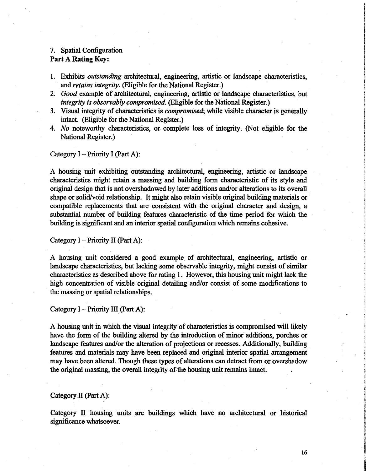# 7. Spatial Configuration **Part A Rating Key:**

- 1. Exhibits *outstanding* architectural, engineering, artistic or landscape characteristics, and *retains integrity.* (Eligible for the National Register.)
- 2. *Good* example of architectural, engineering, artistic or landscape characteristics, but *integrity is observably compromised.* (Eligible for the National Register.)
- 3. Visual integrity of characteristics is *compromised*; while visible character is generally intact. (Eligible for the National Register.)
- 4. *No* noteworthy characteristics, or complete loss of integrity. (Not eligible for the National Register.)

Category  $I -$  Priority I (Part A):

A housing unit exhibiting outstanding architectural, engineering, artistic or landscape characteristics might retain a massing and building form characteristic of its style and original design that is not overshadowed by later additions and/or alterations to its overall shape or solid/void relationship. It might also retain visible original building materials or compatible replacements that are consistent with the original character and design, a substantial number of building features characteristic of the time period for which the building is significant and an interior spatial configuration which remains cohesive.

Category  $I$  – Priority II (Part A):

A housing unit considered a good example of architectural, engineering, artistic or landscape characteristics, but lacking some observable integrity, might consist of similar characteristics as described above for rating l. However, this housing unit might lack the high concentration of visible original detailing and/or consist of some modifications to the massing or spatial relationships.

Category  $I$  – Priority III (Part A):

A housing unit in which the visual integrity of characteristics is compromised will likely have the form of the building altered by the introduction of minor additions, porches or landscape features and/or the alteration of projections or recesses. Additionally, building features and materials may have been replaced and original interior spatial arrangement may have been altered. Though these types of alterations can detract from or overshadow the original massing, the overall integrity of the housing unit remains intact.

#### Category II (Part A):

Category II housing units are buildings which have no architectural or historical significance whatsoever.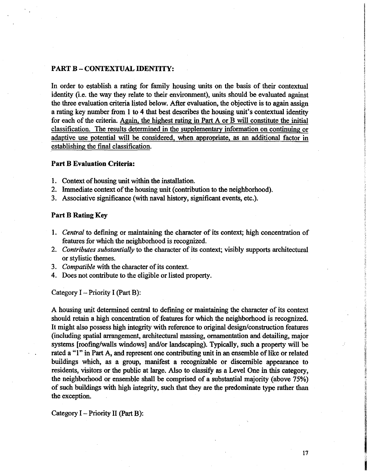## **PART B** - **CONTEXTUAL IDENTITY:**

In order to establish a rating for family housing units on the basis of their contextual identity (i.e. the way they relate to their environment), units should be evaluated against the three evaluation criteria listed below. After evaluation, the objective is to again assign a rating key number from 1 to 4 that best describes the housing unit's contextual identity for each of the criteria. Again, the highest rating in Part A or B will constitute the initial classification. The results determined in the supplementary information on continuing or adaptive use potential will be considered, when appropriate, as an additional factor in establishing the final classification.

### **Part B Evaluation Criteria:**

- 1. Context of housing unit within the installation.
- 2. Immediate context of the housing unit ( contribution to the neighborhood).
- 3. Associative significance (with naval history, significant events, etc.).

## **Part B Rating Key**

- 1. *Central* to defining or maintaining the character of its context; high concentration of features for which the neighborhood is recognized.
- 2. *Contributes substantially* to the character of its context; visibly supports architectural or stylistic themes.
- 3. *Compatible* with the character of its context.
- 4. Does not contribute to the eligible or listed property.

Category  $I$  – Priority I (Part B):

A housing unit determined central to defining or maintaining the character of its context should retain a high concentration of features for which the neighborhood is recognized. It might also possess high integrity with reference to original design/construction features (including spatial arrangement, architectural massing, ornamentation and detailing, major systems [roofing/walls windows] and/or landscaping). Typically, such a property will be rated a "l" in Part A, and represent one contributing unit in an ensemble of like or related buildings which, as a group, manifest a recognizable or discernible appearance to residents, visitors or the public at large. Also to classify as a Level One in this category, the neighborhood or ensemble shall be comprised of a substantial majority (above 75%) of such buildings with high integrity, such that they are the predominate type rather than the exception.

Category  $I$  – Priority II (Part B):

in the company of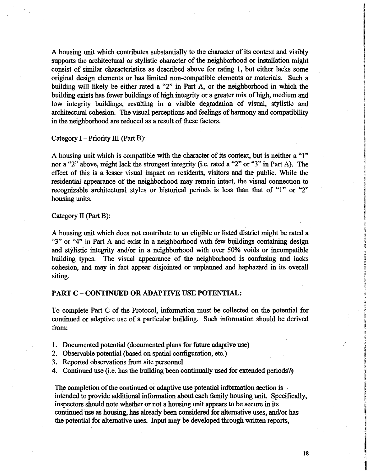A housing unit which contributes substantially to the character of its context and visibly supports the architectural or stylistic character of the neighborhood or installation might consist of similar characteristics as described above for rating 1, but either lacks some original design elements or has limited non-compatible elements or materials. Such a building will likely be either rated a "2" in Part A, or the neighborhood in which the building exists has fewer buildings of high integrity or a greater mix of high, medium and low integrity buildings, resulting in a visible degradation of visual, stylistic and architectural cohesion. The visual perceptions and feelings of harmony and compatibility in the neighborhood are reduced as a result of these factors.

Category  $I$  – Priority III (Part B):

A housing unit which is compatible with the character of its context, but is neither a "l" nor a "2" above, might lack the strongest integrity (i.e. rated a "2" or "3" in Part A). The effect of this is a lesser visual impact on residents, visitors and the public. While the residential appearance of the neighborhood may remain intact, the visual connection to recognizable architectural styles or historical periods is less than that of "l" or "2" housing units.

#### Category II (Part B):

A housing unit which does not contribute to an eligible or listed district might be rated a " $3$ " or " $4$ " in Part A and exist in a neighborhood with few buildings containing design and stylistic integrity and/or in a neighborhood with over 50% voids or incompatible building types. The visual appearance of the neighborhood is confusing and lacks cohesion, and may in fact appear disjointed or unplanned and haphazard in its overall siting.

## **PART C** - **CONTINUED OR ADAPTIVE USE POTENTIAL:**

To complete Part C of the Protocol, information must be collected on the potential for continued or adaptive use of a particular building. Such information should be derived from:

- 1. Documented potential ( documented plans for future adaptive use)
- 2. Observable potential (based on spatial configuration, etc.)
- 3. Reported observations from site personnel
- 4. Continued use (i.e. has the building been continually used for extended periods?)

The completion of the continued or adaptive use potential information section is .. intended to provide additional information about each family housing unit. Specifically, inspectors should note whether or not a housing unit appears to be secure in its continued use as housing, has already been considered for alternative uses, and/or has the potential for alternative uses. Input may be developed through written reports,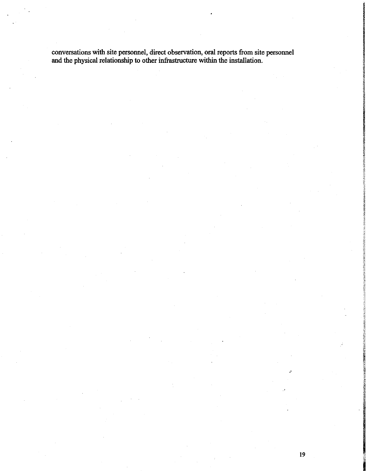conversations with site personnel, direct observation, oral reports from site personnel and the physical relationship to other infrastructure within the installation.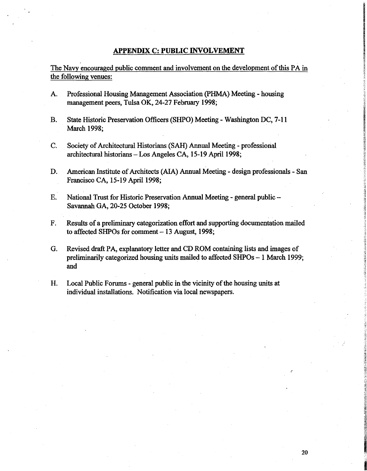## **APPENDIX** C: **PUBLIC INVOLVEMENT**

The Navy encouraged public comment and involvement on the development of this PA in the following venues:

- A. Professional Housing Management Association {PHMA) Meeting housing management peers, Tulsa OK, 24-27 February 1998;
- B. State Historic Preservation Officers (SHPO) Meeting Washington DC, 7-11 March 1998;
- C. Society of Architectural Historians (SAH) Annual Meeting professional architectural historians - Los Angeles CA, 15-19 April 1998;
- D. American Institute of Architects (AIA) Annual Meeting design professionals San Francisco CA, 15-19 April 1998;
- E. National Trust for Historic Preservation Annual Meeting general public Savannah GA, 20-25 October 1998;
- F. Results of a preliminary categorization effort and supporting documentation mailed to affected SHPOs for comment - 13 August, 1998;
- G. Revised draft PA, explanatory letter and CD ROM containing lists and images of preliminarily categorized housing units mailed to affected SHPOs - 1 March 1999; and
- H. Local Public Forums general public in the vicinity of the housing units at individual installations. Notification via local newspapers.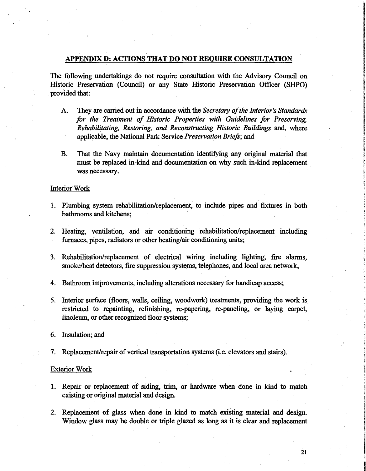# **APPENDIX D: ACTIONS THAT DO NOT REQUIRE CONSULTATION**

The following undertakings do not require consultation with the Advisory Council on Historic Preservation (Council) or any State Historic Preservation Officer (SHPO) provided that:

- A. They are carried out in accordance with the *Secretary of the Interior's Standards for the Treatment of Historic Properties with Guidelines for Preserving, Rehabilitating, Restoring, and Reconstructing Historic Buildings* and, where applicable, the National Park Service *Preservation Briefs;* and
- B. That the Navy maintain documentation identifying any original material that must be replaced in-kind and documentation on why such in-kind replacement . was necessary.

# Interior Work

- 1. Plumbing system rehabilitation/replacement, to include pipes and fixtures in both bathrooms and kitchens;
- 2. Heating, ventilation, and air conditioning rehabilitation/replacement including furnaces, pipes, radiators or other heating/air conditioning units;
- · 3. Rehabilitation/replacement of electrical wiring including lighting, fire alarms, smoke/heat detectors, fire suppression systems, telephones, and local area network;
- 4. Bathroom improvements, including alterations necessary for handicap access;
- 5. Interior surface (floors, walls, ceiling, woodwork) treatments, providing the work is. restricted to repainting, refinishing, re-papering, re-paneling, or laying carpet, linoleum, or other recognized floor systems;
- 6. Insulation; and
- 7. Replacement/repair of vertical transportation systems (i.e. elevators and stairs).

#### Exterior Work

- 1. Repair or replacement of siding, trim, or hardware when done in kind to match existing or original material and design.
- 2. Replacement of glass when done in kind to match existing material and design. Window glass may be double or triple glazed as long as it is clear and replacement

**National Contract Contract**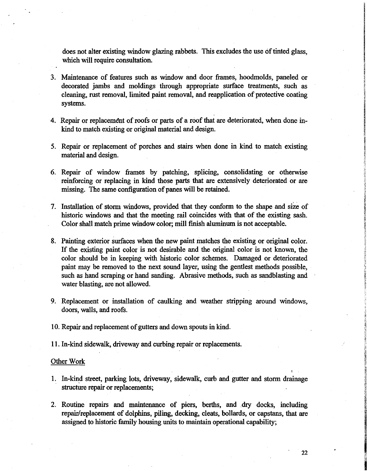does not alter existing window glazing rabbets. This excludes the use of tinted glass, which will require consultation.

- 3. Maintenance of features such as window and door frames, hoodmolds, paneled or decorated jambs and moldings through appropriate surface treatments, such as cleaning, rust removal, limited paint removal, and reapplication of protective coating systems.
- 4. Repair or replacement of roofs or parts of a roof that are deteriorated, when done inkind to match existing or original material and design.
- 5. Repair or replacement of porches and stairs when done in kind to match existing material and design.
- 6. Repair of window frames by patching, splicing, consolidating or otherwise reinforcing or replacing in kind those parts that are extensively deteriorated or are missing. The same configuration of panes will be retained.
- 7. Installation of storm windows, provided that they conform to the shape and size of historic windows and that the meeting rail coincides with that of the existing sash. Color shall match prime window color; mill finish aluminum is not acceptable.
- 8. Painting exterior surfaces when the new paint matches the existing or original color. If the existing paint color is not desirable and the original color is not known, the color should be in keeping with historic color schemes. Damaged or deteriorated paint may be removed to the next sound layer, using the gentlest methods possible, such as hand scraping or hand sanding. Abrasive methods, such as sandblasting and water blasting, are not allowed.
- 9. Replacement or installation of caulking and weather stripping around windows, doors, walls, and roofs.
- 10. Repair and replacement of gutters and down spouts in kind.
- 11. In-kind sidewalk, driveway and curbing repair or replacements.

#### Other Work

- 1. In-kind street, parking lots, driveway, sidewalk, curb and gutter and storm drainage structure repair or replacements;
- 2. Routine repairs and maintenance of piers, berths, and dry docks, including repair/replacement of dolphins, piling, decking, cleats, bollards, or capstans, that are assigned to historic family housing units to maintain operational capability;